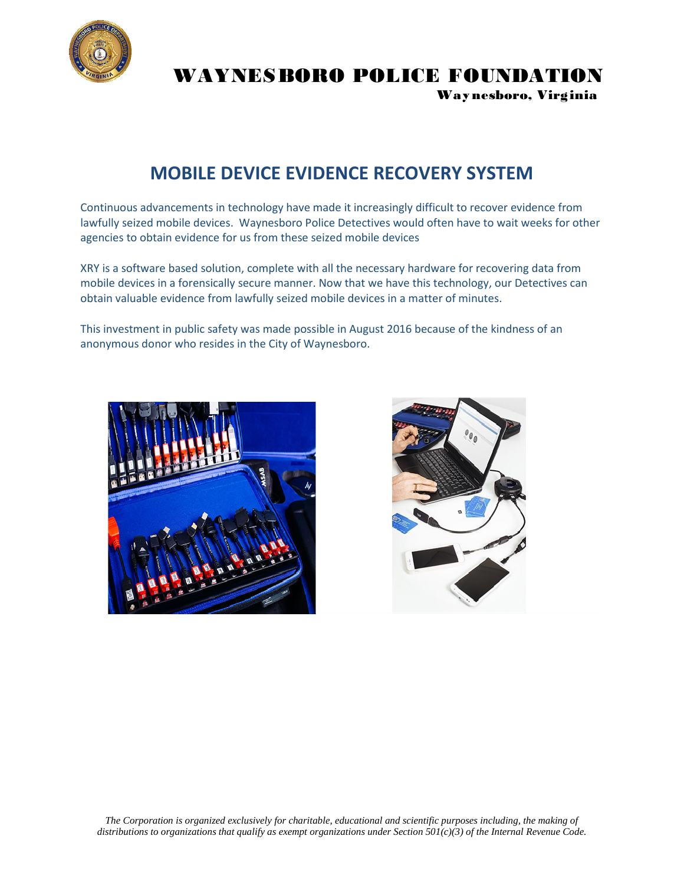

WAYNESBORO POLICE FOUNDATION

Way nesboro, Virginia

## **MOBILE DEVICE EVIDENCE RECOVERY SYSTEM**

Continuous advancements in technology have made it increasingly difficult to recover evidence from lawfully seized mobile devices. Waynesboro Police Detectives would often have to wait weeks for other agencies to obtain evidence for us from these seized mobile devices

XRY is a software based solution, complete with all the necessary hardware for recovering data from mobile devices in a forensically secure manner. Now that we have this technology, our Detectives can obtain valuable evidence from lawfully seized mobile devices in a matter of minutes.

This investment in public safety was made possible in August 2016 because of the kindness of an anonymous donor who resides in the City of Waynesboro.